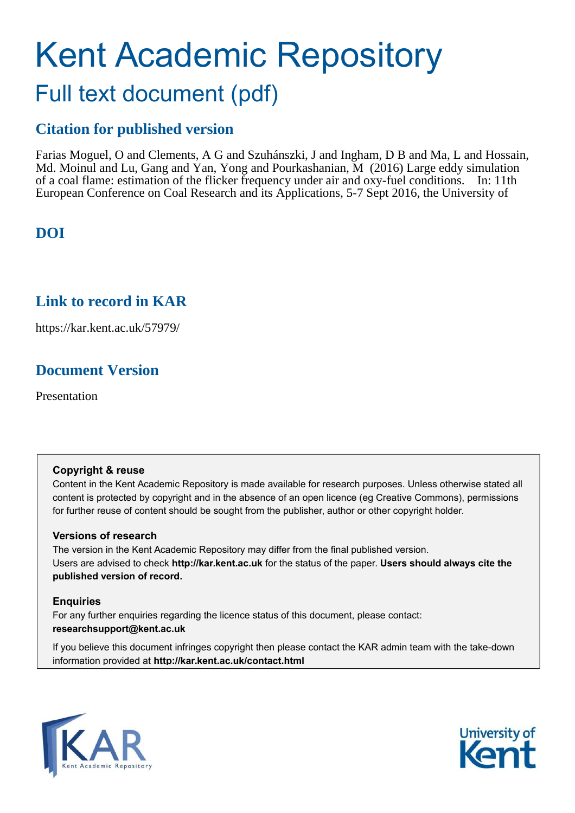# Kent Academic Repository Full text document (pdf)

## **Citation for published version**

Farias Moguel, O and Clements, A G and Szuhánszki, J and Ingham, D B and Ma, L and Hossain, Md. Moinul and Lu, Gang and Yan, Yong and Pourkashanian, M (2016) Large eddy simulation of a coal flame: estimation of the flicker frequency under air and oxy-fuel conditions. In: 11th European Conference on Coal Research and its Applications, 5-7 Sept 2016, the University of

## **DOI**

## **Link to record in KAR**

https://kar.kent.ac.uk/57979/

## **Document Version**

Presentation

#### **Copyright & reuse**

Content in the Kent Academic Repository is made available for research purposes. Unless otherwise stated all content is protected by copyright and in the absence of an open licence (eg Creative Commons), permissions for further reuse of content should be sought from the publisher, author or other copyright holder.

#### **Versions of research**

The version in the Kent Academic Repository may differ from the final published version. Users are advised to check **http://kar.kent.ac.uk** for the status of the paper. **Users should always cite the published version of record.**

#### **Enquiries**

For any further enquiries regarding the licence status of this document, please contact: **researchsupport@kent.ac.uk**

If you believe this document infringes copyright then please contact the KAR admin team with the take-down information provided at **http://kar.kent.ac.uk/contact.html**